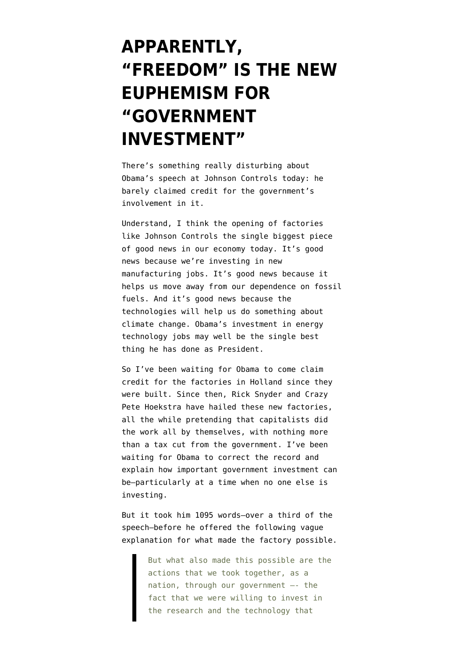## **[APPARENTLY,](https://www.emptywheel.net/2011/08/11/apparently-freedom-is-the-new-euphemism-for-government-investment/) ["FREEDOM" IS THE NEW](https://www.emptywheel.net/2011/08/11/apparently-freedom-is-the-new-euphemism-for-government-investment/) [EUPHEMISM FOR](https://www.emptywheel.net/2011/08/11/apparently-freedom-is-the-new-euphemism-for-government-investment/) ["GOVERNMENT](https://www.emptywheel.net/2011/08/11/apparently-freedom-is-the-new-euphemism-for-government-investment/) [INVESTMENT"](https://www.emptywheel.net/2011/08/11/apparently-freedom-is-the-new-euphemism-for-government-investment/)**

There's something really disturbing about [Obama's speech](http://www.whitehouse.gov/the-press-office/2011/08/11/remarks-president-johnson-controls-inc) at Johnson Controls today: he barely claimed credit for the government's involvement in it.

Understand, I think the opening of factories like Johnson Controls the single biggest piece of good news in our economy today. It's good news because we're investing in new manufacturing jobs. It's good news because it helps us move away from our dependence on fossil fuels. And it's good news because the technologies will help us do something about climate change. Obama's investment in energy technology jobs may well be the single best thing he has done as President.

So I've been waiting for Obama to come claim credit for the factories in Holland since they were built. Since then, [Rick Snyder](http://www.wizardkitten.com/2010/08/snyder-celebrates-battery-jobs-created.html) and [Crazy](http://www.wizardkitten.com/2010/09/energetx-composites-and-fighting.html) [Pete Hoekstra](http://www.wizardkitten.com/2010/09/energetx-composites-and-fighting.html) have hailed these new factories, all the while pretending that capitalists did the work all by themselves, with nothing more than a tax cut from the government. I've been waiting for Obama to correct the record and explain how important government investment can be–particularly at a time when no one else is investing.

But it took him 1095 words–over a third of the speech–before he offered the following vague explanation for what made the factory possible.

> But what also made this possible are the actions that we took together, as a nation, through our government –- the fact that we were willing to invest in the research and the technology that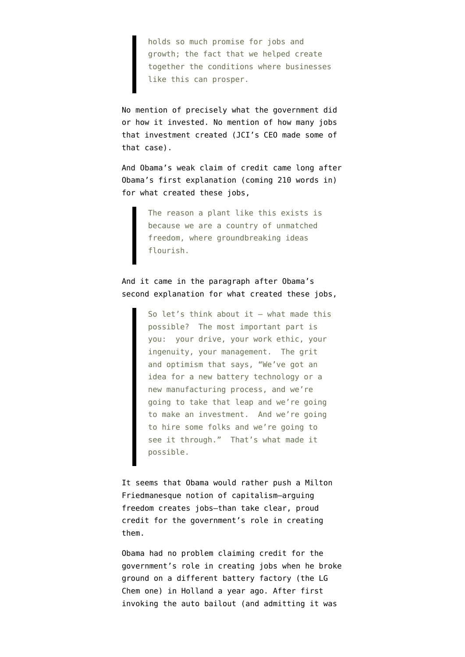holds so much promise for jobs and growth; the fact that we helped create together the conditions where businesses like this can prosper.

No mention of precisely what the government did or how it invested. No mention of how many jobs that investment created (JCI's CEO made some of that case).

And Obama's weak claim of credit came long after Obama's first explanation (coming 210 words in) for what created these jobs,

> The reason a plant like this exists is because we are a country of unmatched freedom, where groundbreaking ideas flourish.

And it came in the paragraph after Obama's second explanation for what created these jobs,

> So let's think about it — what made this possible? The most important part is you: your drive, your work ethic, your ingenuity, your management. The grit and optimism that says, "We've got an idea for a new battery technology or a new manufacturing process, and we're going to take that leap and we're going to make an investment. And we're going to hire some folks and we're going to see it through." That's what made it possible.

It seems that Obama would rather push a Milton Friedmanesque notion of capitalism–arguing freedom creates jobs–than take clear, proud credit for the government's role in creating them.

Obama had no problem claiming credit for the government's role in creating jobs when he broke ground on a different battery factory (the LG Chem one) in Holland a year ago. After first invoking the auto bailout (and admitting it was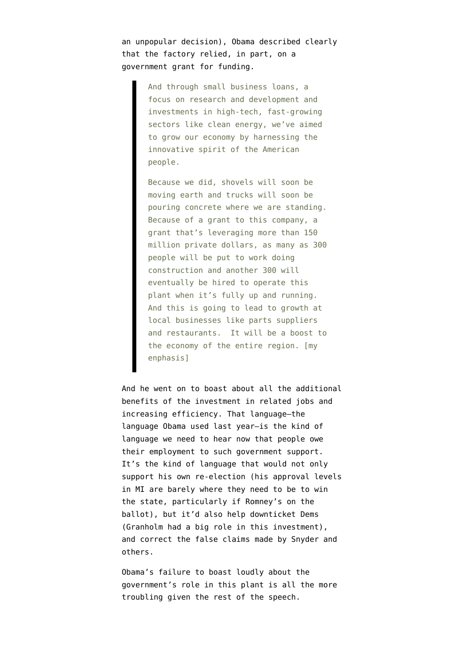an unpopular decision), Obama [described](http://www.whitehouse.gov/the-press-office/remarks-president-holland-michigan-investing-clean-energy) clearly that the factory relied, in part, on a government grant for funding.

> And through small business loans, a focus on research and development and investments in high-tech, fast-growing sectors like clean energy, we've aimed to grow our economy by harnessing the innovative spirit of the American people.

Because we did, shovels will soon be moving earth and trucks will soon be pouring concrete where we are standing. Because of a grant to this company, a grant that's leveraging more than 150 million private dollars, as many as 300 people will be put to work doing construction and another 300 will eventually be hired to operate this plant when it's fully up and running. And this is going to lead to growth at local businesses like parts suppliers and restaurants. It will be a boost to the economy of the entire region. [my enphasis]

And he went on to boast about all the additional benefits of the investment in related jobs and increasing efficiency. That language–the language Obama used last year–is the kind of language we need to hear now that people owe their employment to such government support. It's the kind of language that would not only support his own re-election (his approval levels in MI are [barely where they need to be](http://tpmdc.talkingpointsmemo.com/2011/08/gallup-obama-approval-rating-improving-in-crucial-states.php) to win the state, particularly if Romney's on the ballot), but it'd also help downticket Dems (Granholm had a big role in this investment), and correct the false claims made by Snyder and others.

Obama's failure to boast loudly about the government's role in this plant is all the more troubling given the rest of the speech.